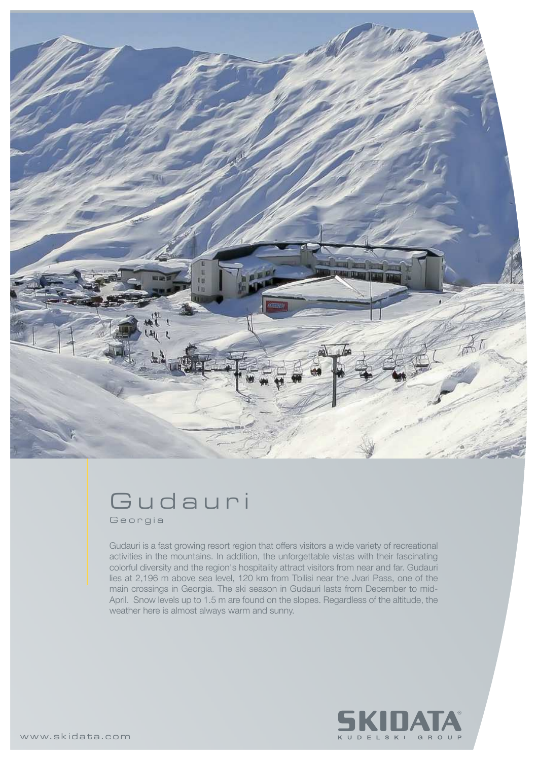

## Gudauri Georgia

Gudauri is a fast growing resort region that offers visitors a wide variety of recreational activities in the mountains. In addition, the unforgettable vistas with their fascinating colorful diversity and the region's hospitality attract visitors from near and far. Gudauri lies at 2,196 m above sea level, 120 km from Tbilisi near the Jvari Pass, one of the main crossings in Georgia. The ski season in Gudauri lasts from December to mid-April. Snow levels up to 1.5 m are found on the slopes. Regardless of the altitude, the weather here is almost always warm and sunny.